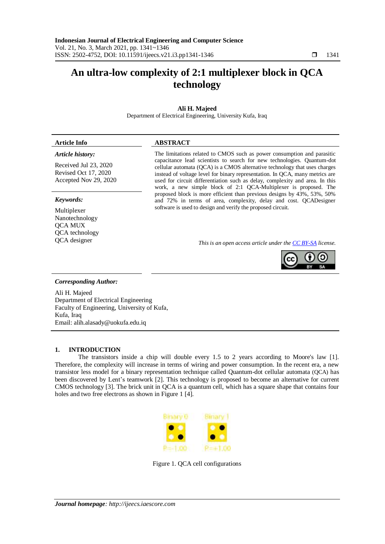# **An ultra-low complexity of 2:1 multiplexer block in QCA technology**

## **Ali H. Majeed**

Department of Electrical Engineering, University Kufa, Iraq

### **Article Info ABSTRACT**

#### *Article history:*

Received Jul 23, 2020 Revised Oct 17, 2020 Accepted Nov 29, 2020

#### *Keywords:*

Multiplexer Nanotechnology QCA MUX QCA technology The limitations related to CMOS such as power consumption and parasitic capacitance lead scientists to search for new technologies. Quantum-dot cellular automata (QCA) is a CMOS alternative technology that uses charges instead of voltage level for binary representation. In QCA, many metrics are used for circuit differentiation such as delay, complexity and area. In this work, a new simple block of 2:1 QCA-Multiplexer is proposed. The proposed block is more efficient than previous designs by 43%, 53%, 50% and 72% in terms of area, complexity, delay and cost. QCADesigner software is used to design and verify the proposed circuit.

QCA designer *This is an open access article under the [CC BY-SA](https://creativecommons.org/licenses/by-sa/4.0/) license.*



#### *Corresponding Author:*

Ali H. Majeed Department of Electrical Engineering Faculty of Engineering, University of Kufa, Kufa, Iraq Email: alih.alasady@uokufa.edu.iq

#### **1. INTRODUCTION**

The transistors inside a chip will double every 1.5 to 2 years according to Moore's law [\[1\]](#page-4-0). Therefore, the complexity will increase in terms of wiring and power consumption. In the recent era, a new transistor less model for a binary representation technique called Quantum-dot cellular automata (QCA) has been discovered by Lent's teamwork [\[2\]](#page-4-1). This technology is proposed to become an alternative for current CMOS technology [\[3\]](#page-4-2). The brick unit in QCA is a quantum cell, which has a square shape that contains four holes and two free electrons as shown in Figure 1 [\[4\]](#page-4-3).



Figure 1. QCA cell configurations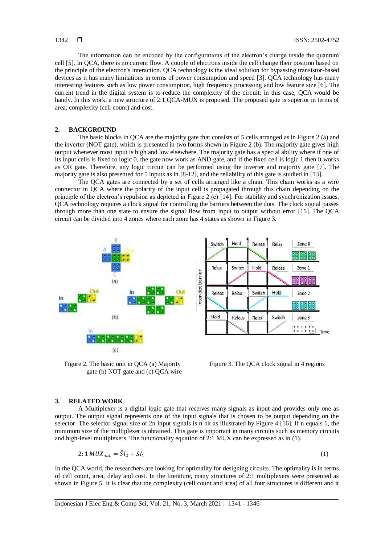The information can be encoded by the configurations of the electron's charge inside the quantum cell [\[5\]](#page-4-4). In QCA, there is no current flow. A couple of electrons inside the cell change their position based on the principle of the electron's interaction. QCA technology is the ideal solution for bypassing transistor-based devices as it has many limitations in terms of power consumption and speed [\[3\]](#page-4-2). QCA technology has many interesting features such as low power consumption, high frequency processing and low feature size [\[6\]](#page-4-5). The current trend in the digital system is to reduce the complexity of the circuit; in this case, QCA would be handy. In this work, a new structure of 2:1 QCA-MUX is proposed. The proposed gate is superior in terms of area, complexity (cell count) and cost.

## **2. BACKGROUND**

The basic blocks in QCA are the majority gate that consists of 5 cells arranged as in Figure 2 (a) and the inverter (NOT gate), which is presented in two forms shown in Figure 2 (b). The majority gate gives high output whenever most input is high and low elsewhere. The majority gate has a special ability where if one of its input cells is fixed to logic 0, the gate now work as AND gate, and if the fixed cell is logic 1 then it works as OR gate. Therefore, any logic circuit can be performed using the inverter and majority gate [\[7\]](#page-4-6). The majority gate is also presented for 5 inputs as in [\[8-12\]](#page-5-0), and the reliability of this gate is studied in [\[13\]](#page-5-1).

The QCA gates are connected by a set of cells arranged like a chain. This chain works as a wire connector in QCA where the polarity of the input cell is propagated through this chain depending on the principle of the electron's repulsion as depicted in Figure 2 (c)  $\lceil 14 \rceil$ . For stability and synchronization issues, QCA technology requires a clock signal for controlling the barriers between the dots. The clock signal passes through more than one state to ensure the signal flow from input to output without error [\[15\]](#page-5-3). The QCA circuit can be divided into 4 zones where each zone has 4 states as shown in Figure 3.



Figure 2. The basic unit in QCA (a) Majority gate (b) NOT gate and (c) QCA wire



Figure 3. The QCA clock signal in 4 regions

#### **3. RELATED WORK**

A Multiplexer is a digital logic gate that receives many signals as input and provides only one as output. The output signal represents one of the input signals that is chosen to be output depending on the selector. The selector signal size of 2n input signals is n bit as illustrated by Figure 4 [\[16\]](#page-5-4). If n equals 1, the minimum size of the multiplexer is obtained. This gate is important in many circuits such as memory circuits and high-level multiplexers. The functionality equation of 2:1 MUX can be expressed as in (1).

$$
2:1\,MUX_{out} = \bar{S}I_2 + SI_1\tag{1}
$$

In the QCA world, the researchers are looking for optimality for designing circuits. The optimality is in terms of cell count, area, delay and cost. In the literature, many structures of 2:1 multiplexers were presented as shown in Figure 5. It is clear that the complexity (cell count and area) of all four structures is different and it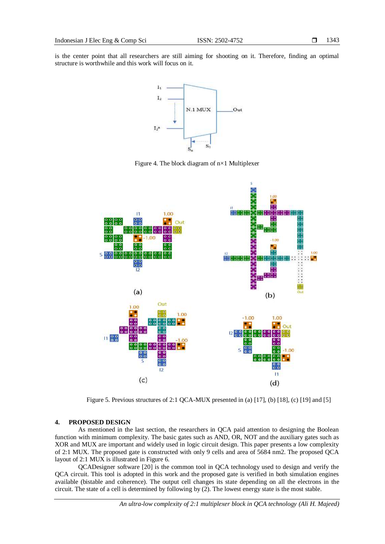is the center point that all researchers are still aiming for shooting on it. Therefore, finding an optimal structure is worthwhile and this work will focus on it.



Figure 4. The block diagram of n×1 Multiplexer



Figure 5. Previous structures of 2:1 QCA-MUX presented in (a) [\[17\]](#page-5-5), (b) [\[18\]](#page-5-6), (c) [\[19\]](#page-5-7) and [\[5\]](#page-4-4)

#### **4. PROPOSED DESIGN**

As mentioned in the last section, the researchers in QCA paid attention to designing the Boolean function with minimum complexity. The basic gates such as AND, OR, NOT and the auxiliary gates such as XOR and MUX are important and widely used in logic circuit design. This paper presents a low complexity of 2:1 MUX. The proposed gate is constructed with only 9 cells and area of 5684 nm2. The proposed QCA layout of 2:1 MUX is illustrated in Figure 6.

QCADesigner software [\[20\]](#page-5-8) is the common tool in QCA technology used to design and verify the QCA circuit. This tool is adopted in this work and the proposed gate is verified in both simulation engines available (bistable and coherence). The output cell changes its state depending on all the electrons in the circuit. The state of a cell is determined by following by (2). The lowest energy state is the most stable.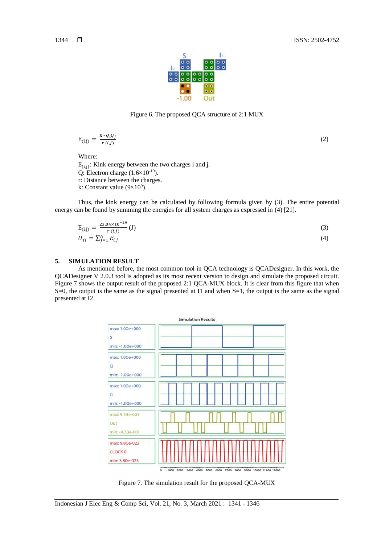

Figure 6. The proposed QCA structure of 2:1 MUX

$$
E_{(i,j)} = \frac{K \cdot Q_i Q_j}{r(i,j)}
$$

(2)

Where:

 $E_{(i,j)}$ : Kink energy between the two charges i and j. Q: Electron charge  $(1.6\times10^{-19})$ . r: Distance between the charges. k: Constant value  $(9 \times 10^9)$ .

Thus, the kink energy can be calculated by following formula given by (3). The entire potential energy can be found by summing the energies for all system charges as expressed in (4) [\[21\]](#page-5-9).

$$
E_{(i,j)} = \frac{23.04 \times 10^{-29}}{r(i,j)} (J)
$$
  
\n
$$
U_{Ti} = \sum_{j=1}^{N} E_{i,j}
$$
 (3)

## **5. SIMULATION RESULT**

As mentioned before, the most common tool in QCA technology is QCADesigner. In this work, the QCADesigner V 2.0.3 tool is adopted as its most recent version to design and simulate the proposed circuit. Figure 7 shows the output result of the proposed 2:1 QCA-MUX block. It is clear from this figure that when S=0, the output is the same as the signal presented at I1 and when S=1, the output is the same as the signal presented at I2.



Figure 7. The simulation result for the proposed QCA-MUX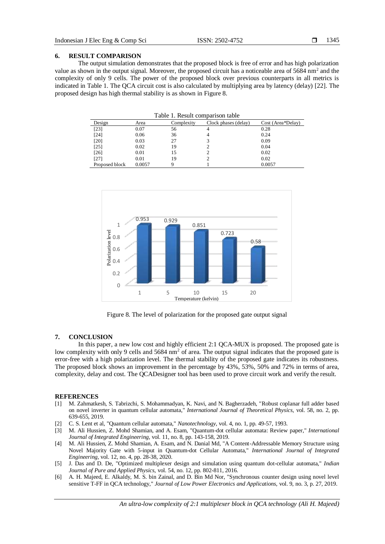#### **6. RESULT COMPARISON**

The output simulation demonstrates that the proposed block is free of error and has high polarization value as shown in the output signal. Moreover, the proposed circuit has a noticeable area of 5684 nm<sup>2</sup> and the complexity of only 9 cells. The power of the proposed block over previous counterparts in all metrics is indicated in Table 1. The QCA circuit cost is also calculated by multiplying area by latency (delay) [\[22\]](#page-5-10). The proposed design has high thermal stability is as shown in Figure 8.

|  |  |  |  |  | Table 1. Result comparison table |  |
|--|--|--|--|--|----------------------------------|--|
|--|--|--|--|--|----------------------------------|--|

| Design         | Area   | Complexity | Clock phases (delay) | Cost (Area*Delay) |  |  |  |
|----------------|--------|------------|----------------------|-------------------|--|--|--|
| [23]           | 0.07   | 56         | 4                    | 0.28              |  |  |  |
| [24]           | 0.06   | 36         | 4                    | 0.24              |  |  |  |
| [20]           | 0.03   | 27         |                      | 0.09              |  |  |  |
| [25]           | 0.02   | 19         |                      | 0.04              |  |  |  |
| $[26]$         | 0.01   | 15         |                      | 0.02              |  |  |  |
| [27]           | 0.01   | 19         |                      | 0.02              |  |  |  |
| Proposed block | 0.0057 | q          |                      | 0.0057            |  |  |  |



<span id="page-4-3"></span><span id="page-4-2"></span>Figure 8. The level of polarization for the proposed gate output signal

#### **7. CONCLUSION**

In this paper, a new low cost and highly efficient 2:1 QCA-MUX is proposed. The proposed gate is low complexity with only 9 cells and 5684 nm<sup>2</sup> of area. The output signal indicates that the proposed gate is error-free with a high polarization level. The thermal stability of the proposed gate indicates its robustness. The proposed block shows an improvement in the percentage by 43%, 53%, 50% and 72% in terms of area, complexity, delay and cost. The QCADesigner tool has been used to prove circuit work and verify the result.

#### **REFERENCES**

- <span id="page-4-0"></span>[1] M. Zahmatkesh, S. Tabrizchi, S. Mohammadyan, K. Navi, and N. Bagherzadeh, "Robust coplanar full adder based on novel inverter in quantum cellular automata," *International Journal of Theoretical Physics,* vol. 58, no. 2, pp. 639-655, 2019.
- <span id="page-4-1"></span>[2] C. S. Lent et al, "Quantum cellular automata," *Nanotechnology,* vol. 4, no. 1, pp. 49-57, 1993.
- [3] M. Ali Hussien, Z. Mohd Shamian, and A. Esam, "Quantum-dot cellular automata: Review paper," *International Journal of Integrated Engineering,* vol. 11, no. 8, pp. 143-158, 2019.
- [4] M. Ali Hussien, Z. Mohd Shamian, A. Esam, and N. Danial Md, "A Content-Addressable Memory Structure using Novel Majority Gate with 5-input in Quantum-dot Cellular Automata," *International Journal of Integrated Engineering,* vol. 12, no. 4, pp. 28-38, 2020.
- <span id="page-4-5"></span><span id="page-4-4"></span>[5] J. Das and D. De, "Optimized multiplexer design and simulation using quantum dot-cellular automata," *Indian Journal of Pure and Applied Physics,* vol. 54, no. 12, pp. 802-811, 2016.
- <span id="page-4-6"></span>[6] A. H. Majeed, E. Alkaldy, M. S. bin Zainal, and D. Bin Md Nor, "Synchronous counter design using novel level sensitive T-FF in QCA technology," *Journal of Low Power Electronics and Applications,* vol. 9, no. 3, p. 27, 2019.